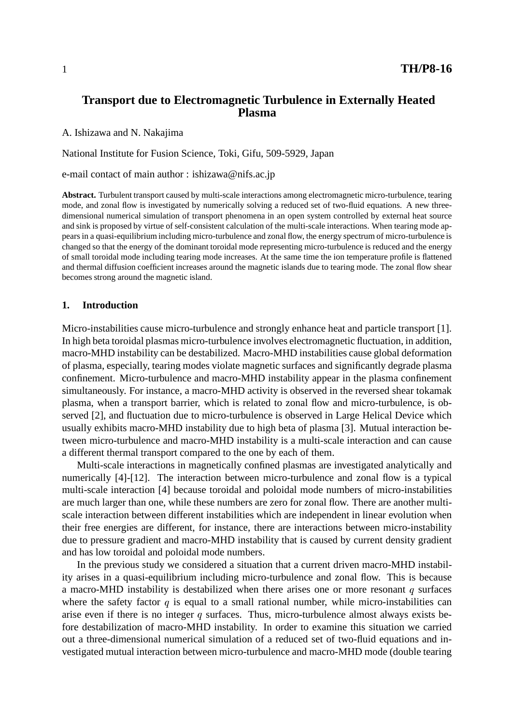# **Transport due to Electromagnetic Turbulence in Externally Heated Plasma**

A. Ishizawa and N. Nakajima

National Institute for Fusion Science, Toki, Gifu, 509-5929, Japan

e-mail contact of main author : ishizawa@nifs.ac.jp

**Abstract.** Turbulent transport caused by multi-scale interactions among electromagnetic micro-turbulence, tearing mode, and zonal flow is investigated by numerically solving a reduced set of two-fluid equations. A new threedimensional numerical simulation of transport phenomena in an open system controlled by external heat source and sink is proposed by virtue of self-consistent calculation of the multi-scale interactions. When tearing mode appears in a quasi-equilibrium including micro-turbulence and zonal flow, the energy spectrum of micro-turbulence is changed so that the energy of the dominant toroidal mode representing micro-turbulence is reduced and the energy of small toroidal mode including tearing mode increases. At the same time the ion temperature profile is flattened and thermal diffusion coefficient increases around the magnetic islands due to tearing mode. The zonal flow shear becomes strong around the magnetic island.

#### **1. Introduction**

Micro-instabilities cause micro-turbulence and strongly enhance heat and particle transport [1]. In high beta toroidal plasmas micro-turbulence involves electromagnetic fluctuation, in addition, macro-MHD instability can be destabilized. Macro-MHD instabilities cause global deformation of plasma, especially, tearing modes violate magnetic surfaces and significantly degrade plasma confinement. Micro-turbulence and macro-MHD instability appear in the plasma confinement simultaneously. For instance, a macro-MHD activity is observed in the reversed shear tokamak plasma, when a transport barrier, which is related to zonal flow and micro-turbulence, is observed [2], and fluctuation due to micro-turbulence is observed in Large Helical Device which usually exhibits macro-MHD instability due to high beta of plasma [3]. Mutual interaction between micro-turbulence and macro-MHD instability is a multi-scale interaction and can cause a different thermal transport compared to the one by each of them.

Multi-scale interactions in magnetically confined plasmas are investigated analytically and numerically [4]-[12]. The interaction between micro-turbulence and zonal flow is a typical multi-scale interaction [4] because toroidal and poloidal mode numbers of micro-instabilities are much larger than one, while these numbers are zero for zonal flow. There are another multiscale interaction between different instabilities which are independent in linear evolution when their free energies are different, for instance, there are interactions between micro-instability due to pressure gradient and macro-MHD instability that is caused by current density gradient and has low toroidal and poloidal mode numbers.

In the previous study we considered a situation that a current driven macro-MHD instability arises in a quasi-equilibrium including micro-turbulence and zonal flow. This is because a macro-MHD instability is destabilized when there arises one or more resonant  $q$  surfaces where the safety factor  $q$  is equal to a small rational number, while micro-instabilities can arise even if there is no integer  $q$  surfaces. Thus, micro-turbulence almost always exists before destabilization of macro-MHD instability. In order to examine this situation we carried out a three-dimensional numerical simulation of a reduced set of two-fluid equations and investigated mutual interaction between micro-turbulence and macro-MHD mode (double tearing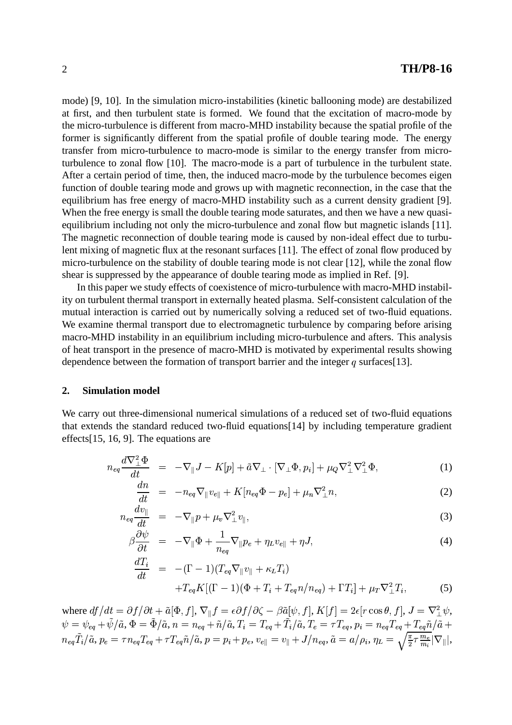mode) [9, 10]. In the simulation micro-instabilities (kinetic ballooning mode) are destabilized at first, and then turbulent state is formed. We found that the excitation of macro-mode by the micro-turbulence is different from macro-MHD instability because the spatial profile of the former is significantly different from the spatial profile of double tearing mode. The energy transfer from micro-turbulence to macro-mode is similar to the energy transfer from microturbulence to zonal flow [10]. The macro-mode is a part of turbulence in the turbulent state. After a certain period of time, then, the induced macro-mode by the turbulence becomes eigen function of double tearing mode and grows up with magnetic reconnection, in the case that the equilibrium has free energy of macro-MHD instability such as a current density gradient [9]. When the free energy is small the double tearing mode saturates, and then we have a new quasiequilibrium including not only the micro-turbulence and zonal flow but magnetic islands [11]. The magnetic reconnection of double tearing mode is caused by non-ideal effect due to turbulent mixing of magnetic flux at the resonant surfaces [11]. The effect of zonal flow produced by micro-turbulence on the stability of double tearing mode is not clear [12], while the zonal flow shear is suppressed by the appearance of double tearing mode as implied in Ref. [9].

In this paper we study effects of coexistence of micro-turbulence with macro-MHD instability on turbulent thermal transport in externally heated plasma. Self-consistent calculation of the mutual interaction is carried out by numerically solving a reduced set of two-fluid equations. We examine thermal transport due to electromagnetic turbulence by comparing before arising macro-MHD instability in an equilibrium including micro-turbulence and afters. This analysis of heat transport in the presence of macro-MHD is motivated by experimental results showing dependence between the formation of transport barrier and the integer  $q$  surfaces[13].

#### **2. Simulation model**

We carry out three-dimensional numerical simulations of a reduced set of two-fluid equations that extends the standard reduced two-fluid equations[14] by including temperature gradient effects[15, 16, 9]. The equations are

$$
n_{eq}\frac{d\nabla_{\perp}^{2}\Phi}{dt} = -\nabla_{\parallel}J - K[p] + \tilde{a}\nabla_{\perp}\cdot[\nabla_{\perp}\Phi, p_{i}] + \mu_{Q}\nabla_{\perp}^{2}\nabla_{\perp}^{2}\Phi,
$$
\n(1)

$$
\frac{dn}{dt} = -n_{eq}\nabla_{\parallel}v_{e\parallel} + K[n_{eq}\Phi - p_e] + \mu_n\nabla_{\perp}^2 n,\tag{2}
$$

$$
n_{eq}\frac{dv_{\parallel}}{dt} = -\nabla_{\parallel}p + \mu_v\nabla_{\perp}^2v_{\parallel},
$$
\n(3)

$$
\beta \frac{\partial \psi}{\partial t} = -\nabla_{\parallel} \Phi + \frac{1}{n_{eq}} \nabla_{\parallel} p_e + \eta_L v_{e\parallel} + \eta J,\tag{4}
$$

$$
\frac{dT_i}{dt} = -(\Gamma - 1)(T_{eq}\nabla_{\parallel}v_{\parallel} + \kappa_L T_i) \n+T_{eq}K[(\Gamma - 1)(\Phi + T_i + T_{eq}n/n_{eq}) + \Gamma T_i] + \mu_T\nabla_{\perp}^2 T_i,
$$
\n(5)

where  $df/dt = \partial f/\partial t + \tilde{a}[\Phi, f], \nabla_{\parallel} f = \epsilon \partial f/\partial \zeta - \beta \tilde{a}[\psi, f], K[$  $\beta \tilde{a}[\psi,f], K[f] = 2\epsilon[r\cos\theta,f],\, J = \nabla_\perp^2 \psi,$  $\psi=\psi_{eq}+\psi/{\tilde a}, \Phi=\Phi/{\tilde a}, n=n_{eq}+{\tilde n}/{\tilde a}, T_i=T_{eq}+T_i/{\tilde a}, T_e=\tau T_{eq}, p_i=n_{eq}T_{eq}+T_{eq}{\tilde n}/{\tilde a}+$  $n_{eq}T_i/\tilde{a}, p_e=\tau n_{eq}T_{eq}+\tau T_{eq}\tilde{n}/\tilde{a}, p=p_i+p_e, v_{e||}=v_{||}+$  -'  $\lambda + J/n_{eq}, \, \tilde{a} = a/\rho_i , \, \eta_L = \sqrt{\frac{\pi}{2}} \tau \frac{m_e}{m_i} |\nabla_\parallel|,$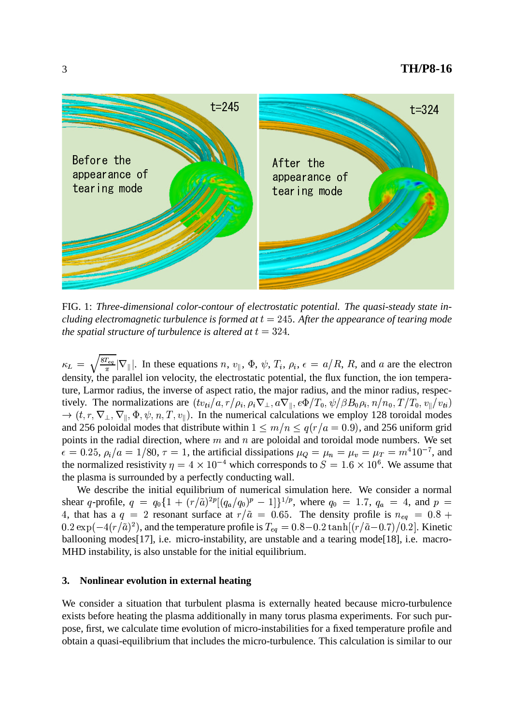

FIG. 1: *Three-dimensional color-contour of electrostatic potential. The quasi-steady state including* electromagnetic *turbulence* is *formed* at  $t = 245$ . After the appearance of *tearing* mode *the spatial structure of turbulence is altered at*  $t = 324$ .

 $\kappa_L = \sqrt{\frac{8I_{eq}}{\pi}} |\nabla_{\parallel}|$ . In these equations *n*,  $v_{\parallel}$ ,  $\Phi$ ,  $\psi$ ,  $T_i$ ,  $\rho_i$ ,  $\epsilon = a/R$ , R, and *a* are the electron density, the parallel ion velocity, the electrostatic potential, the flux function, the ion temperature, Larmor radius, the inverse of aspect ratio, the major radius, and the minor radius, respectively. The normalizations are  $(tv_{ti}/a, r/\rho_i, \rho_i \nabla_{\perp}, a\nabla_{\parallel}, e\Phi/T_0, \psi/\beta B_0\rho_i, n/n_0, T/\rho_i$  $n / n_0$ ,  $T / T_0$ ,  $v_{\parallel}/v_{\pm i}$  $\rightarrow$  (t, r,  $\nabla_{\perp}$ ,  $\nabla_{\perp}$ ,  $\Phi$ ,  $\psi$ ,  $\psi, n, T, v_{\parallel}$ ). In the numerical calculations we employ 128 toroidal modes and 256 poloidal modes that distribute within  $1 \le m/n \le q(r/a = 0.9)$ , and 256 uniform grid points in the radial direction, where  $m$  and  $n$  are poloidal and toroidal mode numbers. We set  $\epsilon = 0.25$ ,  $\rho_i/a = 1/80$ ,  $\tau = 1$ , the artificial dissipations  $\mu_Q = \mu_n = \mu_v = \mu_T = m^4 10^{-7}$ , and the normalized resistivity  $\eta = 4 \times 10^{-4}$  which corresponds to  $S = 1.6 \times 10^{6}$ . We assume that the plasma is surrounded by a perfectly conducting wall.

We describe the initial equilibrium of numerical simulation here. We consider a normal shear q-profile,  $q = q_0 \{1 + (r/\tilde{a})^{2p} |(q_a/q_0)^p - 1|\}^{1/p}$ , where  $q_0 = 1.7$ ,  $q_a = 4$ , and  $p =$ 4, that has a  $q = 2$  resonant surface at  $r/\tilde{a} = 0.65$ . The density profile is  $n_{eq} = 0.8 +$  $0.2 \exp(-4(r/\tilde{a})^2)$ , and the temperature profile is  $T_{eq} = 0.8 - 0.2 \tanh[(r/\tilde{a}-0.7)/0.2]$ . Kinetic ballooning modes [17], i.e. micro-instability, are unstable and a tearing mode [18], i.e. macro-MHD instability, is also unstable for the initial equilibrium.

## **3. Nonlinear evolution in external heating**

We consider a situation that turbulent plasma is externally heated because micro-turbulence exists before heating the plasma additionally in many torus plasma experiments. For such purpose, first, we calculate time evolution of micro-instabilities for a fixed temperature profile and obtain a quasi-equilibrium that includes the micro-turbulence. This calculation is similar to our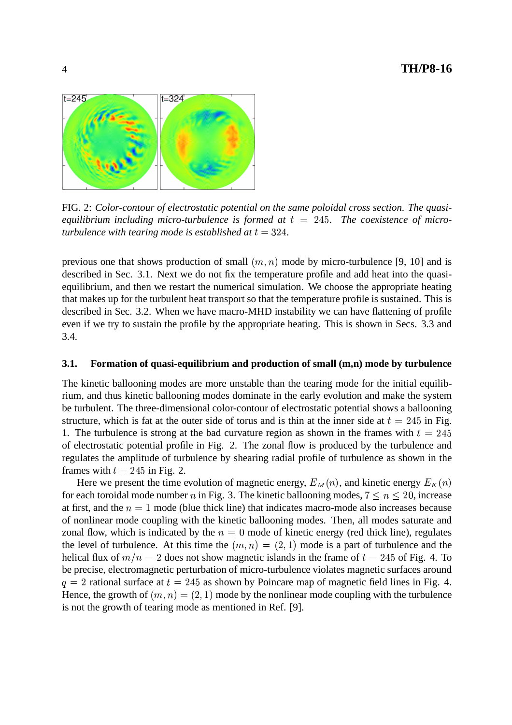

FIG. 2: *Color-contour of electrostatic potential on the same poloidal cross section. The quasi*equilibrium including micro-turbulence is formed at  $t = 245$ . The coexistence of micro*turbulence* with *tearing* mode is established at  $t = 324$ .

previous one that shows production of small  $(m, n)$  mode by micro-turbulence [9, 10] and is described in Sec. 3.1. Next we do not fix the temperature profile and add heat into the quasiequilibrium, and then we restart the numerical simulation. We choose the appropriate heating that makes up for the turbulent heat transport so that the temperature profile is sustained. This is described in Sec. 3.2. When we have macro-MHD instability we can have flattening of profile even if we try to sustain the profile by the appropriate heating. This is shown in Secs. 3.3 and 3.4.

#### **3.1. Formation of quasi-equilibrium and production of small (m,n) mode by turbulence**

The kinetic ballooning modes are more unstable than the tearing mode for the initial equilibrium, and thus kinetic ballooning modes dominate in the early evolution and make the system be turbulent. The three-dimensional color-contour of electrostatic potential shows a ballooning structure, which is fat at the outer side of torus and is thin at the inner side at  $t = 245$  in Fig. 1. The turbulence is strong at the bad curvature region as shown in the frames with  $t = 245$ of electrostatic potential profile in Fig. 2. The zonal flow is produced by the turbulence and regulates the amplitude of turbulence by shearing radial profile of turbulence as shown in the frames with  $t = 245$  in Fig. 2.

Here we present the time evolution of magnetic energy,  $E_M(n)$ , and kinetic energy  $E_K(n)$ for each toroidal mode number *n* in Fig. 3. The kinetic ballooning modes,  $7 \le n \le 20$ , increase at first, and the  $n = 1$  mode (blue thick line) that indicates macro-mode also increases because of nonlinear mode coupling with the kinetic ballooning modes. Then, all modes saturate and zonal flow, which is indicated by the  $n = 0$  mode of kinetic energy (red thick line), regulates the level of turbulence. At this time the  $(m, n) = (2, 1)$  mode is a part of turbulence and the helical flux of  $m/n = 2$  does not show magnetic islands in the frame of  $t = 245$  of Fig. 4. To be precise, electromagnetic perturbation of micro-turbulence violates magnetic surfaces around  $q = 2$  rational surface at  $t = 245$  as shown by Poincare map of magnetic field lines in Fig. 4. Hence, the growth of  $(m, n) = (2, 1)$  mode by the nonlinear mode coupling with the turbulence is not the growth of tearing mode as mentioned in Ref. [9].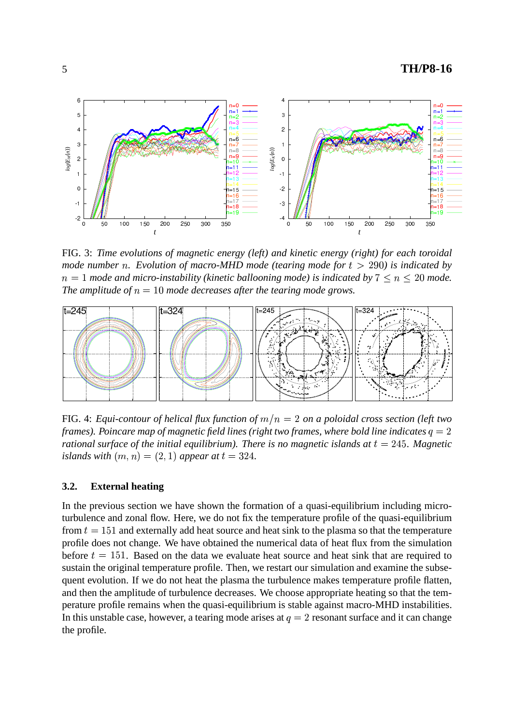

FIG. 3: *Time evolutions of magnetic energy (left) and kinetic energy (right) for each toroidal*  $\mu$  *mode*  $n$ . *Evolution of*  $\mu$ *acro-MHD*  $\mu$ *ode* (*tearing*  $\mu$ *ode*  $\int$ *for*  $t > 290$ ) *is indicated by*  $n = 1$  mode and micro-instability (kinetic ballooning mode) is indicated by  $7 \leq n \leq 20$  mode. *The amplitude of*  $n = 10$  *mode decreases after the tearing mode grows.* 



FIG. 4: *Equi-contour of helical flux function of*  $m/n = 2$  *on a poloidal cross section (left two frames). Poincare map of magnetic field lines (right two frames, where bold line indicates*  $q = 2$ *) rational surface of the initial equilibrium). There is no magnetic islands at*  $t = 245$ . *Magnetic islands with*  $(m, n) = (2, 1)$  *appear at*  $t = 324$ .

## **3.2. External heating**

In the previous section we have shown the formation of a quasi-equilibrium including microturbulence and zonal flow. Here, we do not fix the temperature profile of the quasi-equilibrium from  $t = 151$  and externally add heat source and heat sink to the plasma so that the temperature profile does not change. We have obtained the numerical data of heat flux from the simulation before  $t = 151$ . Based on the data we evaluate heat source and heat sink that are required to sustain the original temperature profile. Then, we restart our simulation and examine the subsequent evolution. If we do not heat the plasma the turbulence makes temperature profile flatten, and then the amplitude of turbulence decreases. We choose appropriate heating so that the temperature profile remains when the quasi-equilibrium is stable against macro-MHD instabilities. In this unstable case, however, a tearing mode arises at  $q=2$  resonant surface and it can change the profile.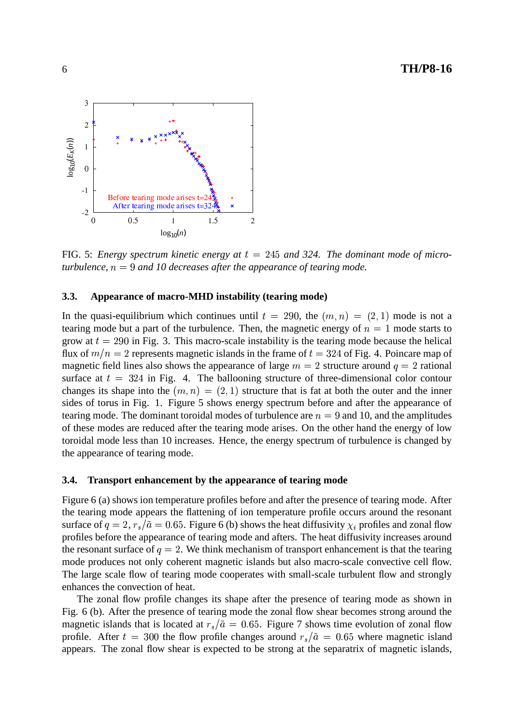

FIG. 5: *Energy spectrum kinetic energy at*  $t = 245$  *and* 324. The *dominant* mode of micro*turbulence,*  $n = 9$  *and 10 decreases after the appearance of tearing mode.* 

## **3.3. Appearance of macro-MHD instability (tearing mode)**

In the quasi-equilibrium which continues until  $t = 290$ , the  $(m, n) = (2, 1)$  mode is not a tearing mode but a part of the turbulence. Then, the magnetic energy of  $n = 1$  mode starts to grow at  $t = 290$  in Fig. 3. This macro-scale instability is the tearing mode because the helical flux of  $m/n = 2$  represents magnetic islands in the frame of  $t = 324$  of Fig. 4. Poincare map of magnetic field lines also shows the appearance of large  $m = 2$  structure around  $q = 2$  rational surface at  $t = 324$  in Fig. 4. The ballooning structure of three-dimensional color contour changes its shape into the  $(m, n) = (2, 1)$  structure that is fat at both the outer and the inner sides of torus in Fig. 1. Figure 5 shows energy spectrum before and after the appearance of tearing mode. The dominant toroidal modes of turbulence are  $n = 9$  and 10, and the amplitudes of these modes are reduced after the tearing mode arises. On the other hand the energy of low toroidal mode less than 10 increases. Hence, the energy spectrum of turbulence is changed by the appearance of tearing mode.

#### **3.4. Transport enhancement by the appearance of tearing mode**

Figure 6 (a) shows ion temperature profiles before and after the presence of tearing mode. After the tearing mode appears the flattening of ion temperature profile occurs around the resonant surface of  $q = 2, r_s/\tilde{a} = 0.65$ . Figure 6 (b) shows the heat diffusivity  $\chi_i$  profiles and zonal flow profiles before the appearance of tearing mode and afters. The heat diffusivity increases around the resonant surface of  $q=2$ . We think mechanism of transport enhancement is that the tearing mode produces not only coherent magnetic islands but also macro-scale convective cell flow. The large scale flow of tearing mode cooperates with small-scale turbulent flow and strongly enhances the convection of heat.

The zonal flow profile changes its shape after the presence of tearing mode as shown in Fig. 6 (b). After the presence of tearing mode the zonal flow shear becomes strong around the magnetic islands that is located at  $r_s/\tilde{a} = 0.65$ . Figure 7 shows time evolution of zonal flow profile. After  $t = 300$  the flow profile changes around  $r_s/\tilde{a} = 0.65$  where magnetic island appears. The zonal flow shear is expected to be strong at the separatrix of magnetic islands,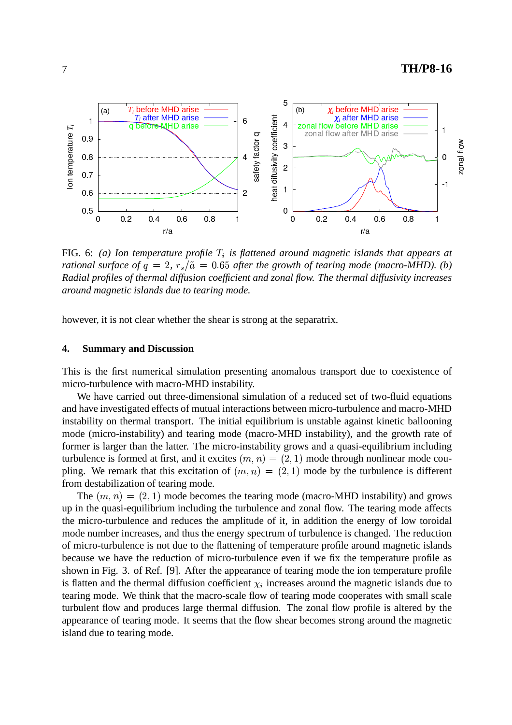

FIG. 6: *(a) Ion temperature profile* ? % *is flattened around magnetic islands that appears at rational surface of*  $q = 2$ ,  $r_s/\tilde{a} = 0.65$  *after the growth of tearing mode (macro-MHD). (b) Radial profiles of thermal diffusion coefficient and zonal flow. The thermal diffusivity increases around magnetic islands due to tearing mode.*

however, it is not clear whether the shear is strong at the separatrix.

#### **4. Summary and Discussion**

This is the first numerical simulation presenting anomalous transport due to coexistence of micro-turbulence with macro-MHD instability.

We have carried out three-dimensional simulation of a reduced set of two-fluid equations and have investigated effects of mutual interactions between micro-turbulence and macro-MHD instability on thermal transport. The initial equilibrium is unstable against kinetic ballooning mode (micro-instability) and tearing mode (macro-MHD instability), and the growth rate of former is larger than the latter. The micro-instability grows and a quasi-equilibrium including turbulence is formed at first, and it excites  $(m, n) = (2, 1)$  mode through nonlinear mode coupling. We remark that this excitation of  $(m, n) = (2, 1)$  mode by the turbulence is different from destabilization of tearing mode.

The  $(m, n) = (2, 1)$  mode becomes the tearing mode (macro-MHD instability) and grows up in the quasi-equilibrium including the turbulence and zonal flow. The tearing mode affects the micro-turbulence and reduces the amplitude of it, in addition the energy of low toroidal mode number increases, and thus the energy spectrum of turbulence is changed. The reduction of micro-turbulence is not due to the flattening of temperature profile around magnetic islands because we have the reduction of micro-turbulence even if we fix the temperature profile as shown in Fig. 3. of Ref. [9]. After the appearance of tearing mode the ion temperature profile is flatten and the thermal diffusion coefficient  $\chi_i$  increases around the magnetic islands due to tearing mode. We think that the macro-scale flow of tearing mode cooperates with small scale turbulent flow and produces large thermal diffusion. The zonal flow profile is altered by the appearance of tearing mode. It seems that the flow shear becomes strong around the magnetic island due to tearing mode.